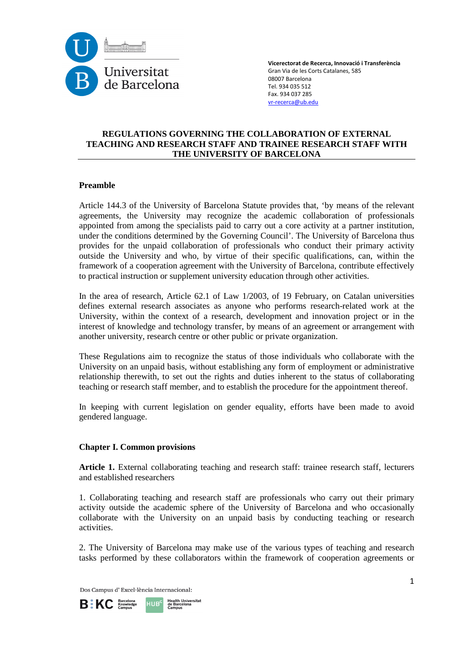

### **REGULATIONS GOVERNING THE COLLABORATION OF EXTERNAL TEACHING AND RESEARCH STAFF AND TRAINEE RESEARCH STAFF WITH THE UNIVERSITY OF BARCELONA**

### **Preamble**

Article 144.3 of the University of Barcelona Statute provides that, 'by means of the relevant agreements, the University may recognize the academic collaboration of professionals appointed from among the specialists paid to carry out a core activity at a partner institution, under the conditions determined by the Governing Council'. The University of Barcelona thus provides for the unpaid collaboration of professionals who conduct their primary activity outside the University and who, by virtue of their specific qualifications, can, within the framework of a cooperation agreement with the University of Barcelona, contribute effectively to practical instruction or supplement university education through other activities.

In the area of research, Article 62.1 of Law 1/2003, of 19 February, on Catalan universities defines external research associates as anyone who performs research-related work at the University, within the context of a research, development and innovation project or in the interest of knowledge and technology transfer, by means of an agreement or arrangement with another university, research centre or other public or private organization.

These Regulations aim to recognize the status of those individuals who collaborate with the University on an unpaid basis, without establishing any form of employment or administrative relationship therewith, to set out the rights and duties inherent to the status of collaborating teaching or research staff member, and to establish the procedure for the appointment thereof.

In keeping with current legislation on gender equality, efforts have been made to avoid gendered language.

#### **Chapter I. Common provisions**

**Article 1.** External collaborating teaching and research staff: trainee research staff, lecturers and established researchers

1. Collaborating teaching and research staff are professionals who carry out their primary activity outside the academic sphere of the University of Barcelona and who occasionally collaborate with the University on an unpaid basis by conducting teaching or research activities.

2. The University of Barcelona may make use of the various types of teaching and research tasks performed by these collaborators within the framework of cooperation agreements or

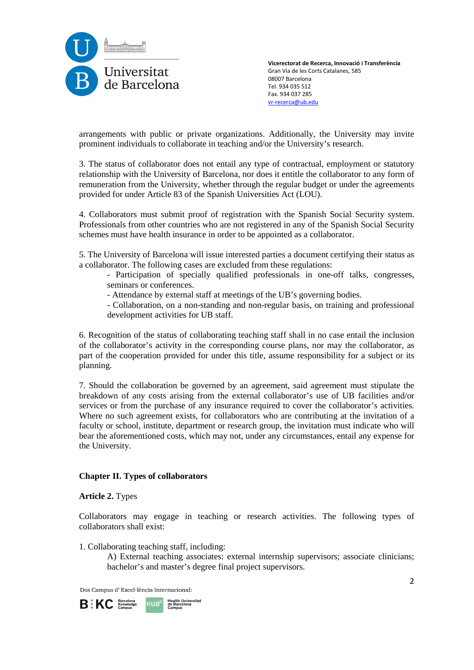

arrangements with public or private organizations. Additionally, the University may invite prominent individuals to collaborate in teaching and/or the University's research.

3. The status of collaborator does not entail any type of contractual, employment or statutory relationship with the University of Barcelona, nor does it entitle the collaborator to any form of remuneration from the University, whether through the regular budget or under the agreements provided for under Article 83 of the Spanish Universities Act (LOU).

4. Collaborators must submit proof of registration with the Spanish Social Security system. Professionals from other countries who are not registered in any of the Spanish Social Security schemes must have health insurance in order to be appointed as a collaborator.

5. The University of Barcelona will issue interested parties a document certifying their status as a collaborator. The following cases are excluded from these regulations:

- Participation of specially qualified professionals in one-off talks, congresses, seminars or conferences.
- Attendance by external staff at meetings of the UB's governing bodies.
- Collaboration, on a non-standing and non-regular basis, on training and professional development activities for UB staff.

6. Recognition of the status of collaborating teaching staff shall in no case entail the inclusion of the collaborator's activity in the corresponding course plans, nor may the collaborator, as part of the cooperation provided for under this title, assume responsibility for a subject or its planning.

7. Should the collaboration be governed by an agreement, said agreement must stipulate the breakdown of any costs arising from the external collaborator's use of UB facilities and/or services or from the purchase of any insurance required to cover the collaborator's activities. Where no such agreement exists, for collaborators who are contributing at the invitation of a faculty or school, institute, department or research group, the invitation must indicate who will bear the aforementioned costs, which may not, under any circumstances, entail any expense for the University.

### **Chapter II. Types of collaborators**

**Article 2.** Types

Collaborators may engage in teaching or research activities. The following types of collaborators shall exist:

1. Collaborating teaching staff, including:

A) External teaching associates: external internship supervisors; associate clinicians; bachelor's and master's degree final project supervisors.

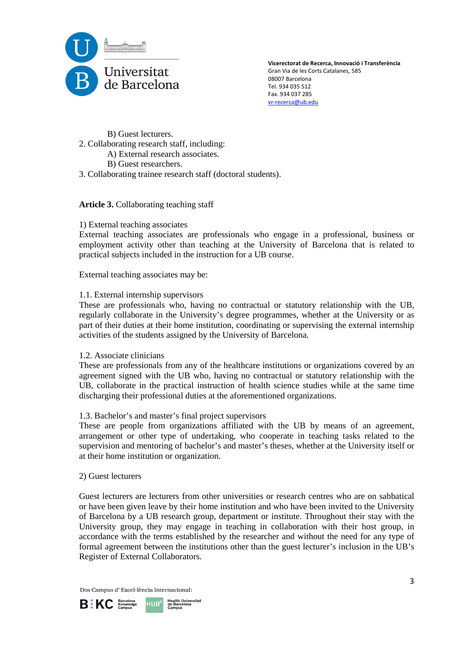

B) Guest lecturers.

- 2. Collaborating research staff, including:
	- A) External research associates.
	- B) Guest researchers.
- 3. Collaborating trainee research staff (doctoral students).

**Article 3.** Collaborating teaching staff

### 1) External teaching associates

External teaching associates are professionals who engage in a professional, business or employment activity other than teaching at the University of Barcelona that is related to practical subjects included in the instruction for a UB course.

External teaching associates may be:

### 1.1. External internship supervisors

These are professionals who, having no contractual or statutory relationship with the UB, regularly collaborate in the University's degree programmes, whether at the University or as part of their duties at their home institution, coordinating or supervising the external internship activities of the students assigned by the University of Barcelona.

### 1.2. Associate clinicians

These are professionals from any of the healthcare institutions or organizations covered by an agreement signed with the UB who, having no contractual or statutory relationship with the UB, collaborate in the practical instruction of health science studies while at the same time discharging their professional duties at the aforementioned organizations.

### 1.3. Bachelor's and master's final project supervisors

These are people from organizations affiliated with the UB by means of an agreement, arrangement or other type of undertaking, who cooperate in teaching tasks related to the supervision and mentoring of bachelor's and master's theses, whether at the University itself or at their home institution or organization.

### 2) Guest lecturers

Guest lecturers are lecturers from other universities or research centres who are on sabbatical or have been given leave by their home institution and who have been invited to the University of Barcelona by a UB research group, department or institute. Throughout their stay with the University group, they may engage in teaching in collaboration with their host group, in accordance with the terms established by the researcher and without the need for any type of formal agreement between the institutions other than the guest lecturer's inclusion in the UB's Register of External Collaborators.

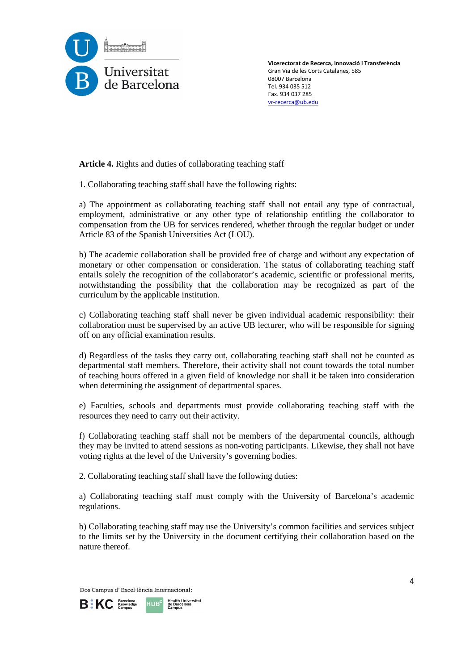

**Article 4.** Rights and duties of collaborating teaching staff

1. Collaborating teaching staff shall have the following rights:

a) The appointment as collaborating teaching staff shall not entail any type of contractual, employment, administrative or any other type of relationship entitling the collaborator to compensation from the UB for services rendered, whether through the regular budget or under Article 83 of the Spanish Universities Act (LOU).

b) The academic collaboration shall be provided free of charge and without any expectation of monetary or other compensation or consideration. The status of collaborating teaching staff entails solely the recognition of the collaborator's academic, scientific or professional merits, notwithstanding the possibility that the collaboration may be recognized as part of the curriculum by the applicable institution.

c) Collaborating teaching staff shall never be given individual academic responsibility: their collaboration must be supervised by an active UB lecturer, who will be responsible for signing off on any official examination results.

d) Regardless of the tasks they carry out, collaborating teaching staff shall not be counted as departmental staff members. Therefore, their activity shall not count towards the total number of teaching hours offered in a given field of knowledge nor shall it be taken into consideration when determining the assignment of departmental spaces.

e) Faculties, schools and departments must provide collaborating teaching staff with the resources they need to carry out their activity.

f) Collaborating teaching staff shall not be members of the departmental councils, although they may be invited to attend sessions as non-voting participants. Likewise, they shall not have voting rights at the level of the University's governing bodies.

2. Collaborating teaching staff shall have the following duties:

a) Collaborating teaching staff must comply with the University of Barcelona's academic regulations.

b) Collaborating teaching staff may use the University's common facilities and services subject to the limits set by the University in the document certifying their collaboration based on the nature thereof.

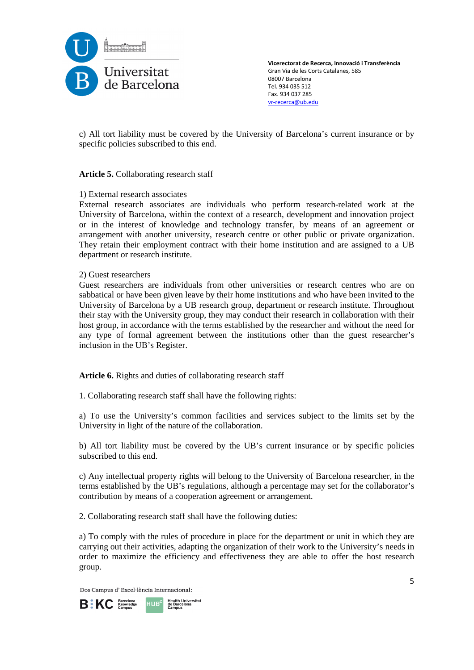

c) All tort liability must be covered by the University of Barcelona's current insurance or by specific policies subscribed to this end.

### **Article 5.** Collaborating research staff

### 1) External research associates

External research associates are individuals who perform research-related work at the University of Barcelona, within the context of a research, development and innovation project or in the interest of knowledge and technology transfer, by means of an agreement or arrangement with another university, research centre or other public or private organization. They retain their employment contract with their home institution and are assigned to a UB department or research institute.

#### 2) Guest researchers

Guest researchers are individuals from other universities or research centres who are on sabbatical or have been given leave by their home institutions and who have been invited to the University of Barcelona by a UB research group, department or research institute. Throughout their stay with the University group, they may conduct their research in collaboration with their host group, in accordance with the terms established by the researcher and without the need for any type of formal agreement between the institutions other than the guest researcher's inclusion in the UB's Register.

**Article 6.** Rights and duties of collaborating research staff

1. Collaborating research staff shall have the following rights:

a) To use the University's common facilities and services subject to the limits set by the University in light of the nature of the collaboration.

b) All tort liability must be covered by the UB's current insurance or by specific policies subscribed to this end.

c) Any intellectual property rights will belong to the University of Barcelona researcher, in the terms established by the UB's regulations, although a percentage may set for the collaborator's contribution by means of a cooperation agreement or arrangement.

2. Collaborating research staff shall have the following duties:

a) To comply with the rules of procedure in place for the department or unit in which they are carrying out their activities, adapting the organization of their work to the University's needs in order to maximize the efficiency and effectiveness they are able to offer the host research group.

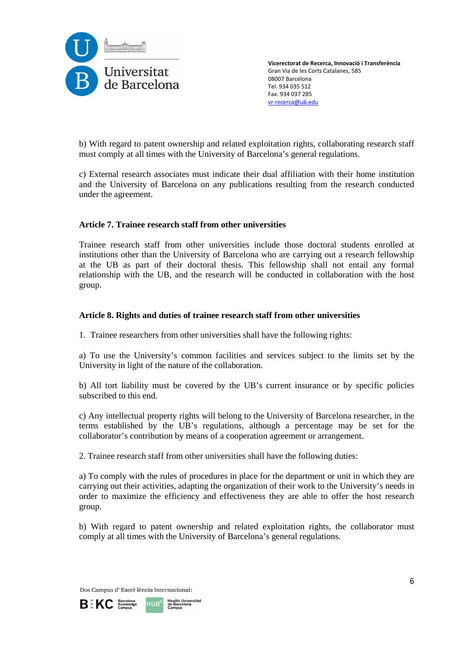

b) With regard to patent ownership and related exploitation rights, collaborating research staff must comply at all times with the University of Barcelona's general regulations.

c) External research associates must indicate their dual affiliation with their home institution and the University of Barcelona on any publications resulting from the research conducted under the agreement.

### **Article 7. Trainee research staff from other universities**

Trainee research staff from other universities include those doctoral students enrolled at institutions other than the University of Barcelona who are carrying out a research fellowship at the UB as part of their doctoral thesis. This fellowship shall not entail any formal relationship with the UB, and the research will be conducted in collaboration with the host group.

### **Article 8. Rights and duties of trainee research staff from other universities**

1. Trainee researchers from other universities shall have the following rights:

a) To use the University's common facilities and services subject to the limits set by the University in light of the nature of the collaboration.

b) All tort liability must be covered by the UB's current insurance or by specific policies subscribed to this end.

c) Any intellectual property rights will belong to the University of Barcelona researcher, in the terms established by the UB's regulations, although a percentage may be set for the collaborator's contribution by means of a cooperation agreement or arrangement.

2. Trainee research staff from other universities shall have the following duties:

a) To comply with the rules of procedures in place for the department or unit in which they are carrying out their activities, adapting the organization of their work to the University's needs in order to maximize the efficiency and effectiveness they are able to offer the host research group.

b) With regard to patent ownership and related exploitation rights, the collaborator must comply at all times with the University of Barcelona's general regulations.

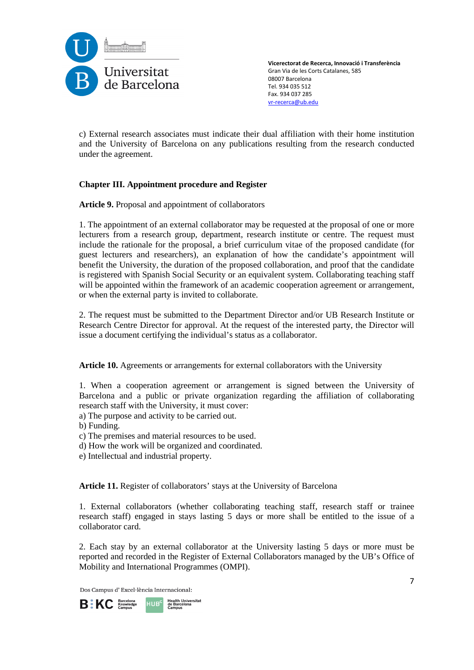

c) External research associates must indicate their dual affiliation with their home institution and the University of Barcelona on any publications resulting from the research conducted under the agreement.

# **Chapter III. Appointment procedure and Register**

**Article 9.** Proposal and appointment of collaborators

1. The appointment of an external collaborator may be requested at the proposal of one or more lecturers from a research group, department, research institute or centre. The request must include the rationale for the proposal, a brief curriculum vitae of the proposed candidate (for guest lecturers and researchers), an explanation of how the candidate's appointment will benefit the University, the duration of the proposed collaboration, and proof that the candidate is registered with Spanish Social Security or an equivalent system. Collaborating teaching staff will be appointed within the framework of an academic cooperation agreement or arrangement, or when the external party is invited to collaborate.

2. The request must be submitted to the Department Director and/or UB Research Institute or Research Centre Director for approval. At the request of the interested party, the Director will issue a document certifying the individual's status as a collaborator.

**Article 10.** Agreements or arrangements for external collaborators with the University

1. When a cooperation agreement or arrangement is signed between the University of Barcelona and a public or private organization regarding the affiliation of collaborating research staff with the University, it must cover:

a) The purpose and activity to be carried out.

b) Funding.

- c) The premises and material resources to be used.
- d) How the work will be organized and coordinated.
- e) Intellectual and industrial property.

**Article 11.** Register of collaborators' stays at the University of Barcelona

1. External collaborators (whether collaborating teaching staff, research staff or trainee research staff) engaged in stays lasting 5 days or more shall be entitled to the issue of a collaborator card.

2. Each stay by an external collaborator at the University lasting 5 days or more must be reported and recorded in the Register of External Collaborators managed by the UB's Office of Mobility and International Programmes (OMPI).